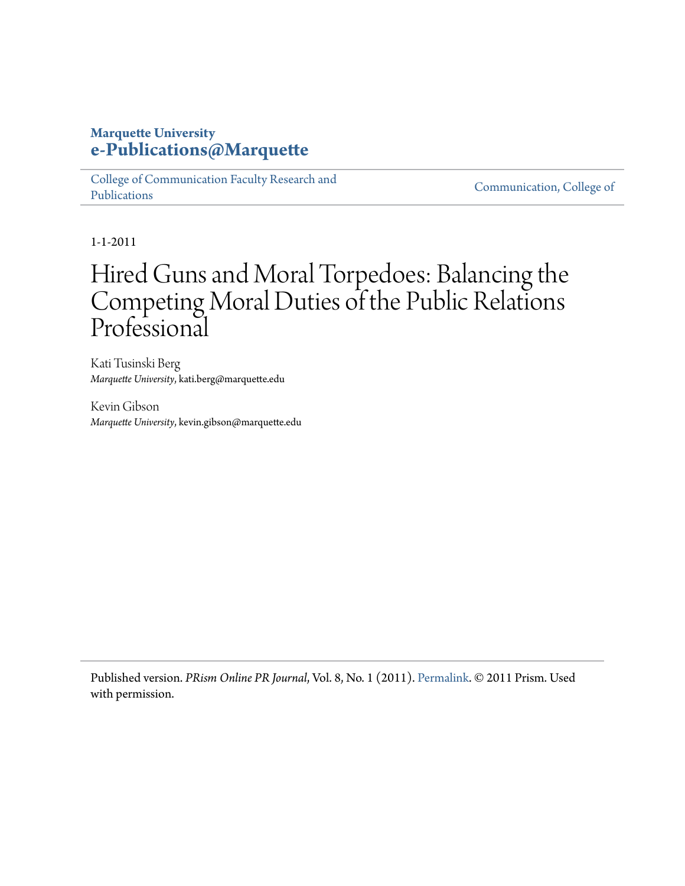## **Marquette University [e-Publications@Marquette](https://epublications.marquette.edu)**

[College of Communication Faculty Research and](https://epublications.marquette.edu/comm_fac) [Publications](https://epublications.marquette.edu/comm_fac)

[Communication, College of](https://epublications.marquette.edu/communication)

1-1-2011

# Hired Guns and Moral Torpedoes: Balancing the Competing Moral Duties of the Public Relations Professional

Kati Tusinski Berg *Marquette University*, kati.berg@marquette.edu

Kevin Gibson *Marquette University*, kevin.gibson@marquette.edu

Published version. *PRism Online PR Journal*, Vol. 8, No. 1 (2011). [Permalink](http://www.prismjournal.org/vol8_1.html). © 2011 Prism. Used with permission.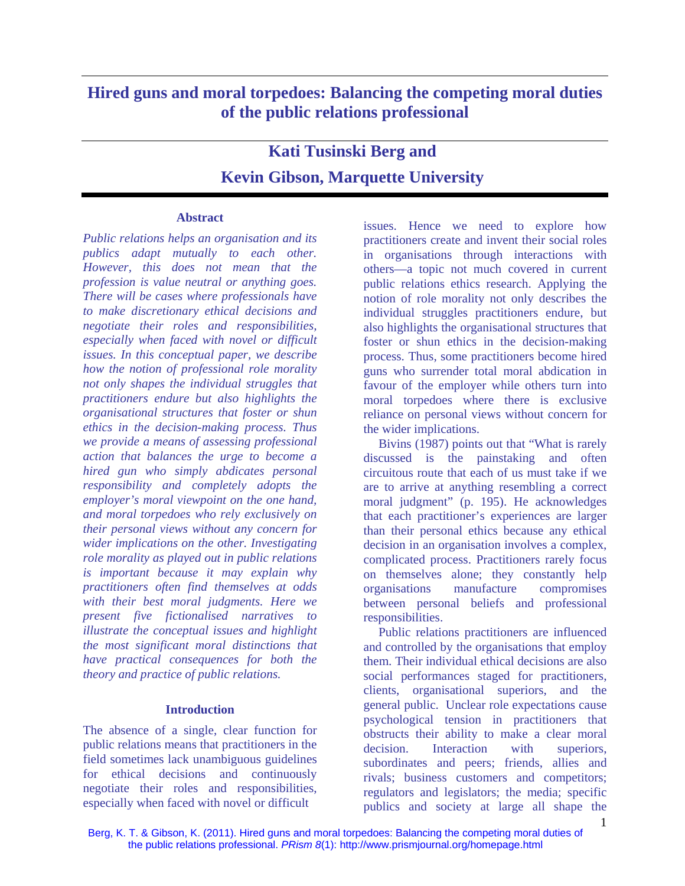### **Hired guns and moral torpedoes: Balancing the competing moral duties of the public relations professional**

## **Kati Tusinski Berg and Kevin Gibson, Marquette University**

#### **Abstract**

*Public relations helps an organisation and its publics adapt mutually to each other. However, this does not mean that the profession is value neutral or anything goes. There will be cases where professionals have to make discretionary ethical decisions and negotiate their roles and responsibilities, especially when faced with novel or difficult issues. In this conceptual paper, we describe how the notion of professional role morality not only shapes the individual struggles that practitioners endure but also highlights the organisational structures that foster or shun ethics in the decision-making process. Thus we provide a means of assessing professional action that balances the urge to become a hired gun who simply abdicates personal responsibility and completely adopts the employer's moral viewpoint on the one hand, and moral torpedoes who rely exclusively on their personal views without any concern for wider implications on the other. Investigating role morality as played out in public relations is important because it may explain why practitioners often find themselves at odds with their best moral judgments. Here we present five fictionalised narratives to illustrate the conceptual issues and highlight the most significant moral distinctions that have practical consequences for both the theory and practice of public relations.* 

#### **Introduction**

The absence of a single, clear function for public relations means that practitioners in the field sometimes lack unambiguous guidelines for ethical decisions and continuously negotiate their roles and responsibilities, especially when faced with novel or difficult

issues. Hence we need to explore how practitioners create and invent their social roles in organisations through interactions with others—a topic not much covered in current public relations ethics research. Applying the notion of role morality not only describes the individual struggles practitioners endure, but also highlights the organisational structures that foster or shun ethics in the decision-making process. Thus, some practitioners become hired guns who surrender total moral abdication in favour of the employer while others turn into moral torpedoes where there is exclusive reliance on personal views without concern for the wider implications.

Bivins (1987) points out that "What is rarely discussed is the painstaking and often circuitous route that each of us must take if we are to arrive at anything resembling a correct moral judgment" (p. 195). He acknowledges that each practitioner's experiences are larger than their personal ethics because any ethical decision in an organisation involves a complex, complicated process. Practitioners rarely focus on themselves alone; they constantly help organisations manufacture compromises between personal beliefs and professional responsibilities.

Public relations practitioners are influenced and controlled by the organisations that employ them. Their individual ethical decisions are also social performances staged for practitioners, clients, organisational superiors, and the general public. Unclear role expectations cause psychological tension in practitioners that obstructs their ability to make a clear moral decision. Interaction with superiors, subordinates and peers; friends, allies and rivals; business customers and competitors; regulators and legislators; the media; specific publics and society at large all shape the

Berg, K. T. & Gibson, K. (2011). Hired guns and moral torpedoes: Balancing the competing moral duties of the public relations professional. *PRism 8*(1): http://www.prismjournal.org/homepage.html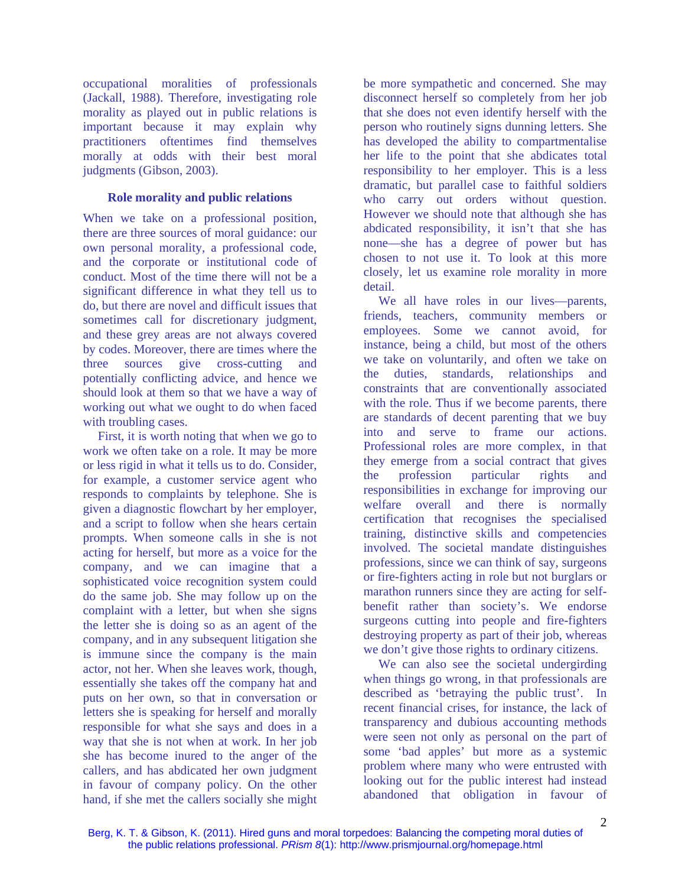occupational moralities of professionals (Jackall, 1988). Therefore, investigating role morality as played out in public relations is important because it may explain why practitioners oftentimes find themselves morally at odds with their best moral judgments (Gibson, 2003).

#### **Role morality and public relations**

When we take on a professional position, there are three sources of moral guidance: our own personal morality, a professional code, and the corporate or institutional code of conduct. Most of the time there will not be a significant difference in what they tell us to do, but there are novel and difficult issues that sometimes call for discretionary judgment, and these grey areas are not always covered by codes. Moreover, there are times where the three sources give cross-cutting and potentially conflicting advice, and hence we should look at them so that we have a way of working out what we ought to do when faced with troubling cases.

First, it is worth noting that when we go to work we often take on a role. It may be more or less rigid in what it tells us to do. Consider, for example, a customer service agent who responds to complaints by telephone. She is given a diagnostic flowchart by her employer, and a script to follow when she hears certain prompts. When someone calls in she is not acting for herself, but more as a voice for the company, and we can imagine that a sophisticated voice recognition system could do the same job. She may follow up on the complaint with a letter, but when she signs the letter she is doing so as an agent of the company, and in any subsequent litigation she is immune since the company is the main actor, not her. When she leaves work, though, essentially she takes off the company hat and puts on her own, so that in conversation or letters she is speaking for herself and morally responsible for what she says and does in a way that she is not when at work. In her job she has become inured to the anger of the callers, and has abdicated her own judgment in favour of company policy. On the other hand, if she met the callers socially she might be more sympathetic and concerned. She may disconnect herself so completely from her job that she does not even identify herself with the person who routinely signs dunning letters. She has developed the ability to compartmentalise her life to the point that she abdicates total responsibility to her employer. This is a less dramatic, but parallel case to faithful soldiers who carry out orders without question. However we should note that although she has abdicated responsibility, it isn't that she has none—she has a degree of power but has chosen to not use it. To look at this more closely, let us examine role morality in more detail.

We all have roles in our lives—parents, friends, teachers, community members or employees. Some we cannot avoid, for instance, being a child, but most of the others we take on voluntarily, and often we take on the duties, standards, relationships and constraints that are conventionally associated with the role. Thus if we become parents, there are standards of decent parenting that we buy into and serve to frame our actions. Professional roles are more complex, in that they emerge from a social contract that gives the profession particular rights and responsibilities in exchange for improving our welfare overall and there is normally certification that recognises the specialised training, distinctive skills and competencies involved. The societal mandate distinguishes professions, since we can think of say, surgeons or fire-fighters acting in role but not burglars or marathon runners since they are acting for selfbenefit rather than society's. We endorse surgeons cutting into people and fire-fighters destroying property as part of their job, whereas we don't give those rights to ordinary citizens.

We can also see the societal undergirding when things go wrong, in that professionals are described as 'betraying the public trust'. In recent financial crises, for instance, the lack of transparency and dubious accounting methods were seen not only as personal on the part of some 'bad apples' but more as a systemic problem where many who were entrusted with looking out for the public interest had instead abandoned that obligation in favour of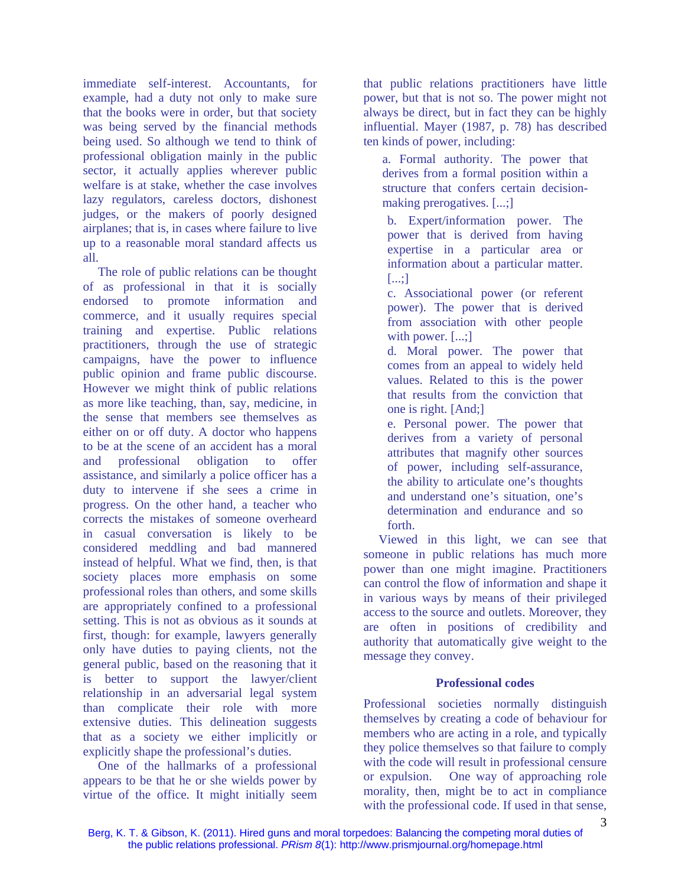immediate self-interest. Accountants, for example, had a duty not only to make sure that the books were in order, but that society was being served by the financial methods being used. So although we tend to think of professional obligation mainly in the public sector, it actually applies wherever public welfare is at stake, whether the case involves lazy regulators, careless doctors, dishonest judges, or the makers of poorly designed airplanes; that is, in cases where failure to live up to a reasonable moral standard affects us all.

The role of public relations can be thought of as professional in that it is socially endorsed to promote information and commerce, and it usually requires special training and expertise. Public relations practitioners, through the use of strategic campaigns, have the power to influence public opinion and frame public discourse. However we might think of public relations as more like teaching, than, say, medicine, in the sense that members see themselves as either on or off duty. A doctor who happens to be at the scene of an accident has a moral and professional obligation to offer assistance, and similarly a police officer has a duty to intervene if she sees a crime in progress. On the other hand, a teacher who corrects the mistakes of someone overheard in casual conversation is likely to be considered meddling and bad mannered instead of helpful. What we find, then, is that society places more emphasis on some professional roles than others, and some skills are appropriately confined to a professional setting. This is not as obvious as it sounds at first, though: for example, lawyers generally only have duties to paying clients, not the general public, based on the reasoning that it is better to support the lawyer/client relationship in an adversarial legal system than complicate their role with more extensive duties. This delineation suggests that as a society we either implicitly or explicitly shape the professional's duties.

One of the hallmarks of a professional appears to be that he or she wields power by virtue of the office. It might initially seem that public relations practitioners have little power, but that is not so. The power might not always be direct, but in fact they can be highly influential. Mayer (1987, p. 78) has described ten kinds of power, including:

a. Formal authority. The power that derives from a formal position within a structure that confers certain decisionmaking prerogatives. [...;]

b. Expert/information power. The power that is derived from having expertise in a particular area or information about a particular matter. [...;]

c. Associational power (or referent power). The power that is derived from association with other people with power. [...;]

d. Moral power. The power that comes from an appeal to widely held values. Related to this is the power that results from the conviction that one is right. [And;]

e. Personal power. The power that derives from a variety of personal attributes that magnify other sources of power, including self-assurance, the ability to articulate one's thoughts and understand one's situation, one's determination and endurance and so forth.

Viewed in this light, we can see that someone in public relations has much more power than one might imagine. Practitioners can control the flow of information and shape it in various ways by means of their privileged access to the source and outlets. Moreover, they are often in positions of credibility and authority that automatically give weight to the message they convey.

#### **Professional codes**

Professional societies normally distinguish themselves by creating a code of behaviour for members who are acting in a role, and typically they police themselves so that failure to comply with the code will result in professional censure or expulsion. One way of approaching role morality, then, might be to act in compliance with the professional code. If used in that sense,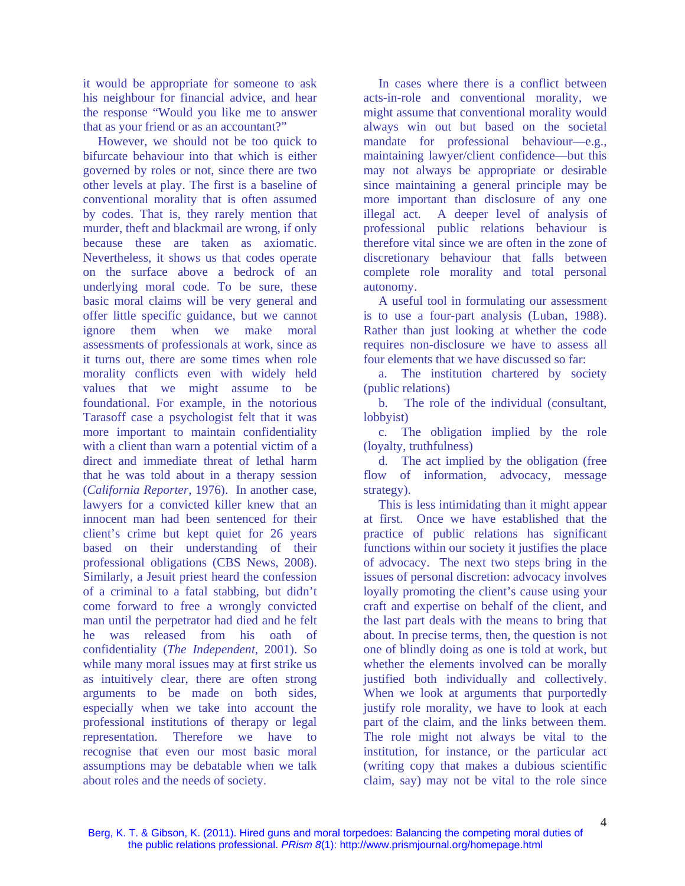it would be appropriate for someone to ask his neighbour for financial advice, and hear the response "Would you like me to answer that as your friend or as an accountant?"

However, we should not be too quick to bifurcate behaviour into that which is either governed by roles or not, since there are two other levels at play. The first is a baseline of conventional morality that is often assumed by codes. That is, they rarely mention that murder, theft and blackmail are wrong, if only because these are taken as axiomatic. Nevertheless, it shows us that codes operate on the surface above a bedrock of an underlying moral code. To be sure, these basic moral claims will be very general and offer little specific guidance, but we cannot ignore them when we make moral assessments of professionals at work, since as it turns out, there are some times when role morality conflicts even with widely held values that we might assume to be foundational. For example, in the notorious Tarasoff case a psychologist felt that it was more important to maintain confidentiality with a client than warn a potential victim of a direct and immediate threat of lethal harm that he was told about in a therapy session (*California Reporter*, 1976). In another case, lawyers for a convicted killer knew that an innocent man had been sentenced for their client's crime but kept quiet for 26 years based on their understanding of their professional obligations (CBS News, 2008). Similarly, a Jesuit priest heard the confession of a criminal to a fatal stabbing, but didn't come forward to free a wrongly convicted man until the perpetrator had died and he felt he was released from his oath of confidentiality (*The Independent*, 2001). So while many moral issues may at first strike us as intuitively clear, there are often strong arguments to be made on both sides, especially when we take into account the professional institutions of therapy or legal representation. Therefore we have to recognise that even our most basic moral assumptions may be debatable when we talk about roles and the needs of society.

In cases where there is a conflict between acts-in-role and conventional morality, we might assume that conventional morality would always win out but based on the societal mandate for professional behaviour—e.g., maintaining lawyer/client confidence—but this may not always be appropriate or desirable since maintaining a general principle may be more important than disclosure of any one illegal act. A deeper level of analysis of professional public relations behaviour is therefore vital since we are often in the zone of discretionary behaviour that falls between complete role morality and total personal autonomy.

A useful tool in formulating our assessment is to use a four-part analysis (Luban, 1988). Rather than just looking at whether the code requires non-disclosure we have to assess all four elements that we have discussed so far:

a. The institution chartered by society (public relations)

b. The role of the individual (consultant, lobbyist)

c. The obligation implied by the role (loyalty, truthfulness)

d. The act implied by the obligation (free flow of information, advocacy, message strategy).

This is less intimidating than it might appear at first. Once we have established that the practice of public relations has significant functions within our society it justifies the place of advocacy. The next two steps bring in the issues of personal discretion: advocacy involves loyally promoting the client's cause using your craft and expertise on behalf of the client, and the last part deals with the means to bring that about. In precise terms, then, the question is not one of blindly doing as one is told at work, but whether the elements involved can be morally justified both individually and collectively. When we look at arguments that purportedly justify role morality, we have to look at each part of the claim, and the links between them. The role might not always be vital to the institution, for instance, or the particular act (writing copy that makes a dubious scientific claim, say) may not be vital to the role since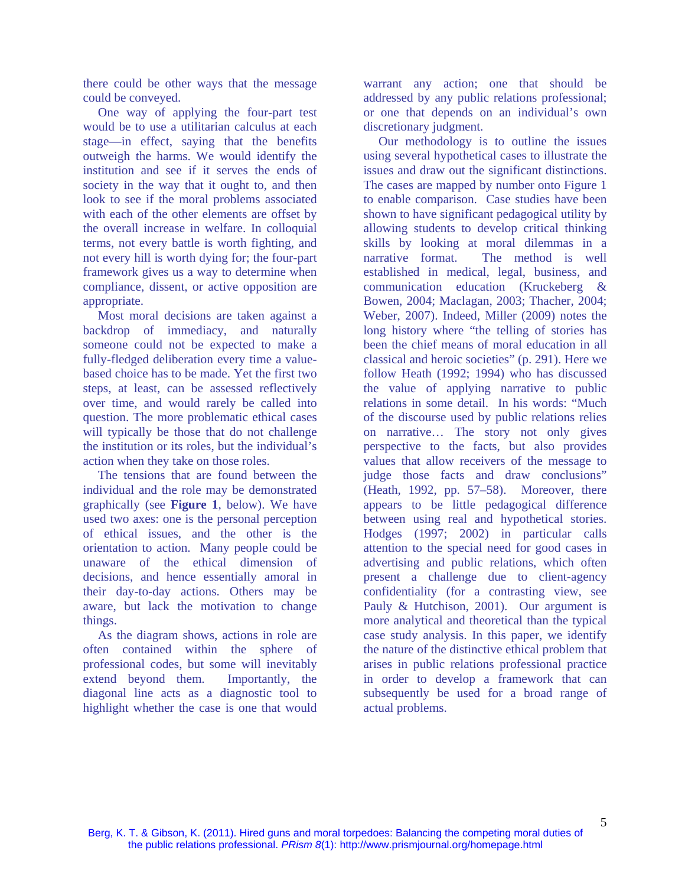there could be other ways that the message could be conveyed.

One way of applying the four-part test would be to use a utilitarian calculus at each stage—in effect, saying that the benefits outweigh the harms. We would identify the institution and see if it serves the ends of society in the way that it ought to, and then look to see if the moral problems associated with each of the other elements are offset by the overall increase in welfare. In colloquial terms, not every battle is worth fighting, and not every hill is worth dying for; the four-part framework gives us a way to determine when compliance, dissent, or active opposition are appropriate.

Most moral decisions are taken against a backdrop of immediacy, and naturally someone could not be expected to make a fully-fledged deliberation every time a valuebased choice has to be made. Yet the first two steps, at least, can be assessed reflectively over time, and would rarely be called into question. The more problematic ethical cases will typically be those that do not challenge the institution or its roles, but the individual's action when they take on those roles.

The tensions that are found between the individual and the role may be demonstrated graphically (see **Figure 1**, below). We have used two axes: one is the personal perception of ethical issues, and the other is the orientation to action. Many people could be unaware of the ethical dimension of decisions, and hence essentially amoral in their day-to-day actions. Others may be aware, but lack the motivation to change things.

As the diagram shows, actions in role are often contained within the sphere of professional codes, but some will inevitably extend beyond them. Importantly, the diagonal line acts as a diagnostic tool to highlight whether the case is one that would warrant any action; one that should be addressed by any public relations professional; or one that depends on an individual's own discretionary judgment.

Our methodology is to outline the issues using several hypothetical cases to illustrate the issues and draw out the significant distinctions. The cases are mapped by number onto Figure 1 to enable comparison. Case studies have been shown to have significant pedagogical utility by allowing students to develop critical thinking skills by looking at moral dilemmas in a narrative format. The method is well established in medical, legal, business, and communication education (Kruckeberg & Bowen, 2004; Maclagan, 2003; Thacher, 2004; Weber, 2007). Indeed, Miller (2009) notes the long history where "the telling of stories has been the chief means of moral education in all classical and heroic societies" (p. 291). Here we follow Heath (1992; 1994) who has discussed the value of applying narrative to public relations in some detail. In his words: "Much of the discourse used by public relations relies on narrative… The story not only gives perspective to the facts, but also provides values that allow receivers of the message to judge those facts and draw conclusions" (Heath, 1992, pp. 57–58). Moreover, there appears to be little pedagogical difference between using real and hypothetical stories. Hodges (1997; 2002) in particular calls attention to the special need for good cases in advertising and public relations, which often present a challenge due to client-agency confidentiality (for a contrasting view, see Pauly & Hutchison, 2001). Our argument is more analytical and theoretical than the typical case study analysis. In this paper, we identify the nature of the distinctive ethical problem that arises in public relations professional practice in order to develop a framework that can subsequently be used for a broad range of actual problems.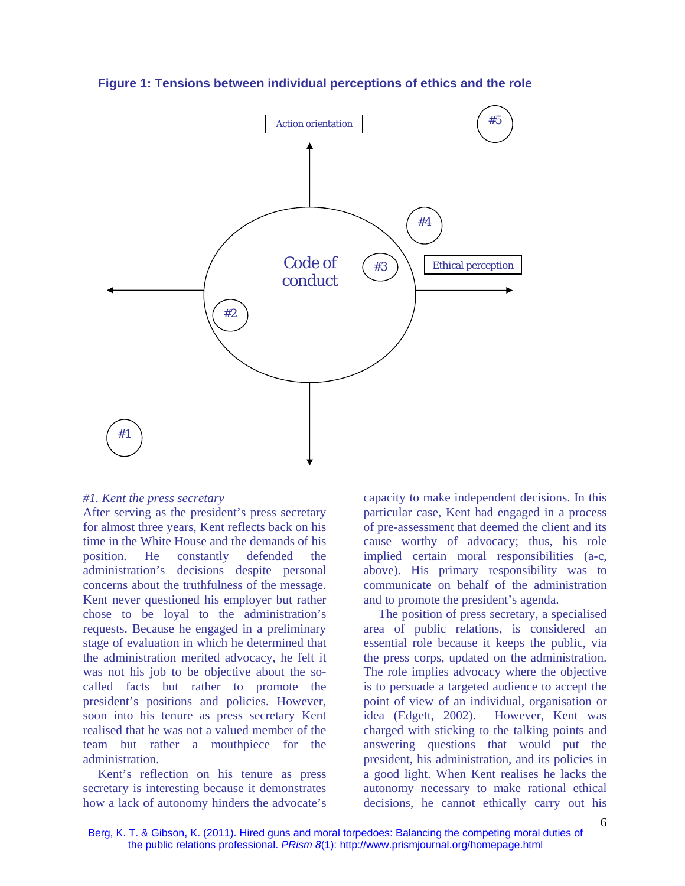

**Figure 1: Tensions between individual perceptions of ethics and the role** 

#### *#1. Kent the press secretary*

After serving as the president's press secretary for almost three years, Kent reflects back on his time in the White House and the demands of his position. He constantly defended the administration's decisions despite personal concerns about the truthfulness of the message. Kent never questioned his employer but rather chose to be loyal to the administration's requests. Because he engaged in a preliminary stage of evaluation in which he determined that the administration merited advocacy, he felt it was not his job to be objective about the socalled facts but rather to promote the president's positions and policies. However, soon into his tenure as press secretary Kent realised that he was not a valued member of the team but rather a mouthpiece for the administration.

Kent's reflection on his tenure as press secretary is interesting because it demonstrates how a lack of autonomy hinders the advocate's capacity to make independent decisions. In this particular case, Kent had engaged in a process of pre-assessment that deemed the client and its cause worthy of advocacy; thus, his role implied certain moral responsibilities (a-c, above). His primary responsibility was to communicate on behalf of the administration and to promote the president's agenda.

The position of press secretary, a specialised area of public relations, is considered an essential role because it keeps the public, via the press corps, updated on the administration. The role implies advocacy where the objective is to persuade a targeted audience to accept the point of view of an individual, organisation or idea (Edgett, 2002). However, Kent was charged with sticking to the talking points and answering questions that would put the president, his administration, and its policies in a good light. When Kent realises he lacks the autonomy necessary to make rational ethical decisions, he cannot ethically carry out his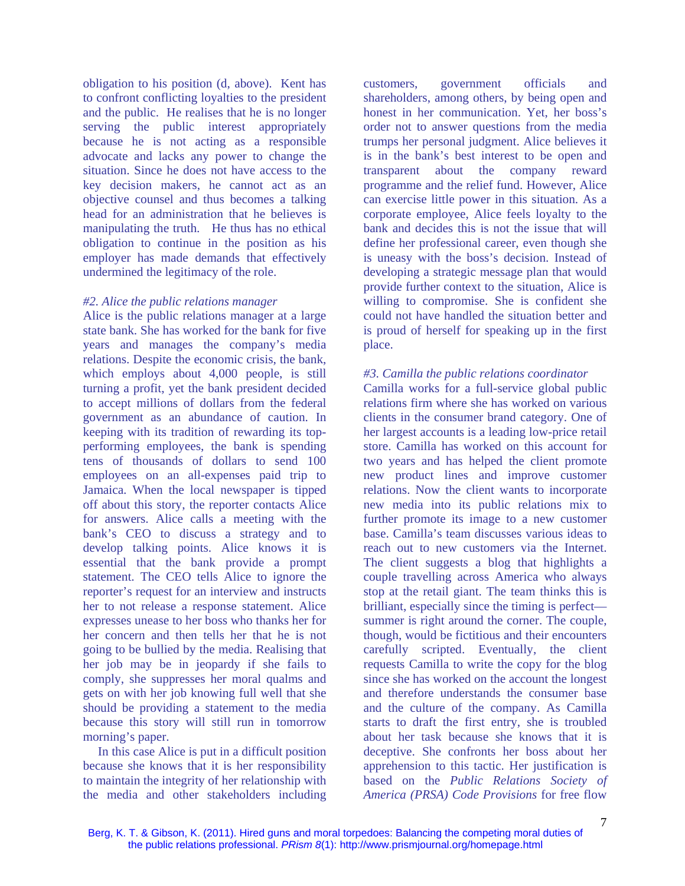obligation to his position (d, above). Kent has to confront conflicting loyalties to the president and the public. He realises that he is no longer serving the public interest appropriately because he is not acting as a responsible advocate and lacks any power to change the situation. Since he does not have access to the key decision makers, he cannot act as an objective counsel and thus becomes a talking head for an administration that he believes is manipulating the truth. He thus has no ethical obligation to continue in the position as his employer has made demands that effectively undermined the legitimacy of the role.

#### *#2. Alice the public relations manager*

Alice is the public relations manager at a large state bank. She has worked for the bank for five years and manages the company's media relations. Despite the economic crisis, the bank, which employs about 4,000 people, is still turning a profit, yet the bank president decided to accept millions of dollars from the federal government as an abundance of caution. In keeping with its tradition of rewarding its topperforming employees, the bank is spending tens of thousands of dollars to send 100 employees on an all-expenses paid trip to Jamaica. When the local newspaper is tipped off about this story, the reporter contacts Alice for answers. Alice calls a meeting with the bank's CEO to discuss a strategy and to develop talking points. Alice knows it is essential that the bank provide a prompt statement. The CEO tells Alice to ignore the reporter's request for an interview and instructs her to not release a response statement. Alice expresses unease to her boss who thanks her for her concern and then tells her that he is not going to be bullied by the media. Realising that her job may be in jeopardy if she fails to comply, she suppresses her moral qualms and gets on with her job knowing full well that she should be providing a statement to the media because this story will still run in tomorrow morning's paper.

In this case Alice is put in a difficult position because she knows that it is her responsibility to maintain the integrity of her relationship with the media and other stakeholders including

customers, government officials and shareholders, among others, by being open and honest in her communication. Yet, her boss's order not to answer questions from the media trumps her personal judgment. Alice believes it is in the bank's best interest to be open and transparent about the company reward programme and the relief fund. However, Alice can exercise little power in this situation. As a corporate employee, Alice feels loyalty to the bank and decides this is not the issue that will define her professional career, even though she is uneasy with the boss's decision. Instead of developing a strategic message plan that would provide further context to the situation, Alice is willing to compromise. She is confident she could not have handled the situation better and is proud of herself for speaking up in the first place.

#### *#3. Camilla the public relations coordinator*

Camilla works for a full-service global public relations firm where she has worked on various clients in the consumer brand category. One of her largest accounts is a leading low-price retail store. Camilla has worked on this account for two years and has helped the client promote new product lines and improve customer relations. Now the client wants to incorporate new media into its public relations mix to further promote its image to a new customer base. Camilla's team discusses various ideas to reach out to new customers via the Internet. The client suggests a blog that highlights a couple travelling across America who always stop at the retail giant. The team thinks this is brilliant, especially since the timing is perfect summer is right around the corner. The couple, though, would be fictitious and their encounters carefully scripted. Eventually, the client requests Camilla to write the copy for the blog since she has worked on the account the longest and therefore understands the consumer base and the culture of the company. As Camilla starts to draft the first entry, she is troubled about her task because she knows that it is deceptive. She confronts her boss about her apprehension to this tactic. Her justification is based on the *Public Relations Society of America (PRSA) Code Provisions* for free flow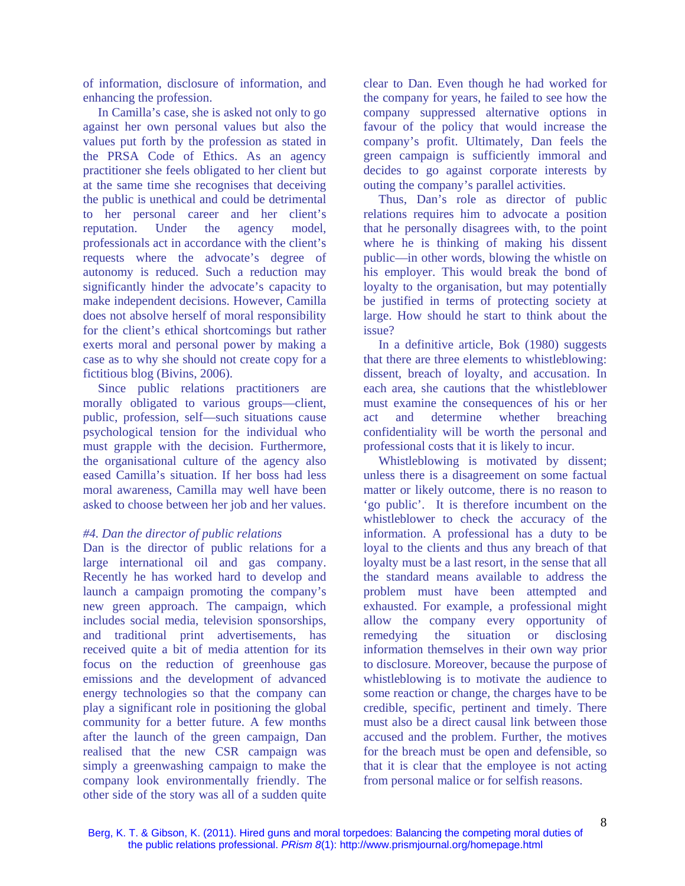of information, disclosure of information, and enhancing the profession.

In Camilla's case, she is asked not only to go against her own personal values but also the values put forth by the profession as stated in the PRSA Code of Ethics. As an agency practitioner she feels obligated to her client but at the same time she recognises that deceiving the public is unethical and could be detrimental to her personal career and her client's reputation. Under the agency model, professionals act in accordance with the client's requests where the advocate's degree of autonomy is reduced. Such a reduction may significantly hinder the advocate's capacity to make independent decisions. However, Camilla does not absolve herself of moral responsibility for the client's ethical shortcomings but rather exerts moral and personal power by making a case as to why she should not create copy for a fictitious blog (Bivins, 2006).

Since public relations practitioners are morally obligated to various groups—client, public, profession, self—such situations cause psychological tension for the individual who must grapple with the decision. Furthermore, the organisational culture of the agency also eased Camilla's situation. If her boss had less moral awareness, Camilla may well have been asked to choose between her job and her values.

#### *#4. Dan the director of public relations*

Dan is the director of public relations for a large international oil and gas company. Recently he has worked hard to develop and launch a campaign promoting the company's new green approach. The campaign, which includes social media, television sponsorships, and traditional print advertisements, has received quite a bit of media attention for its focus on the reduction of greenhouse gas emissions and the development of advanced energy technologies so that the company can play a significant role in positioning the global community for a better future. A few months after the launch of the green campaign, Dan realised that the new CSR campaign was simply a greenwashing campaign to make the company look environmentally friendly. The other side of the story was all of a sudden quite

clear to Dan. Even though he had worked for the company for years, he failed to see how the company suppressed alternative options in favour of the policy that would increase the company's profit. Ultimately, Dan feels the green campaign is sufficiently immoral and decides to go against corporate interests by outing the company's parallel activities.

Thus, Dan's role as director of public relations requires him to advocate a position that he personally disagrees with, to the point where he is thinking of making his dissent public—in other words, blowing the whistle on his employer. This would break the bond of loyalty to the organisation, but may potentially be justified in terms of protecting society at large. How should he start to think about the issue?

In a definitive article, Bok (1980) suggests that there are three elements to whistleblowing: dissent, breach of loyalty, and accusation. In each area, she cautions that the whistleblower must examine the consequences of his or her act and determine whether breaching confidentiality will be worth the personal and professional costs that it is likely to incur.

Whistleblowing is motivated by dissent; unless there is a disagreement on some factual matter or likely outcome, there is no reason to 'go public'. It is therefore incumbent on the whistleblower to check the accuracy of the information. A professional has a duty to be loyal to the clients and thus any breach of that loyalty must be a last resort, in the sense that all the standard means available to address the problem must have been attempted and exhausted. For example, a professional might allow the company every opportunity of remedying the situation or disclosing information themselves in their own way prior to disclosure. Moreover, because the purpose of whistleblowing is to motivate the audience to some reaction or change, the charges have to be credible, specific, pertinent and timely. There must also be a direct causal link between those accused and the problem. Further, the motives for the breach must be open and defensible, so that it is clear that the employee is not acting from personal malice or for selfish reasons.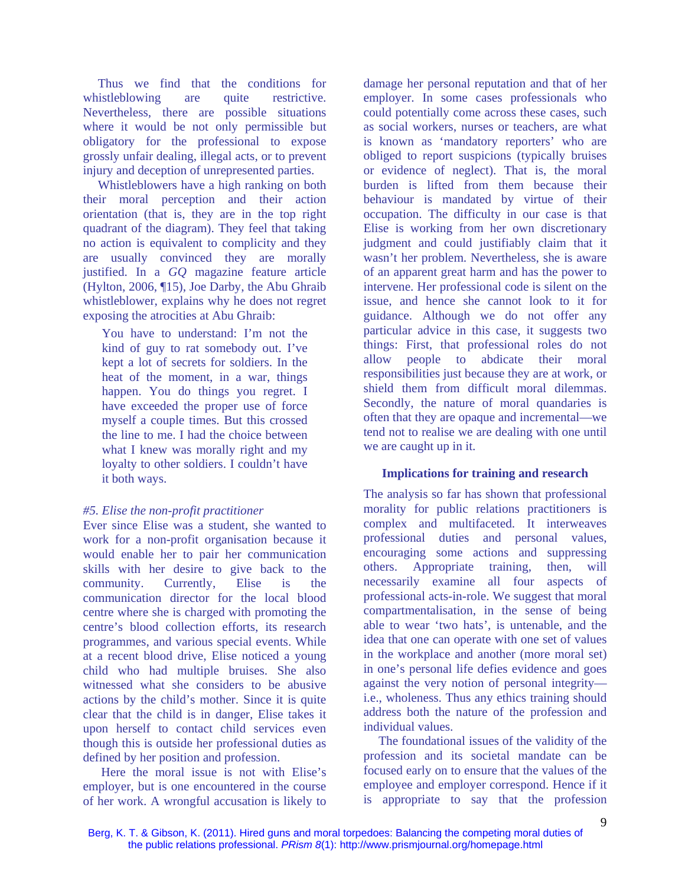Thus we find that the conditions for whistleblowing are quite restrictive. Nevertheless, there are possible situations where it would be not only permissible but obligatory for the professional to expose grossly unfair dealing, illegal acts, or to prevent injury and deception of unrepresented parties.

Whistleblowers have a high ranking on both their moral perception and their action orientation (that is, they are in the top right quadrant of the diagram). They feel that taking no action is equivalent to complicity and they are usually convinced they are morally justified. In a *GQ* magazine feature article (Hylton, 2006, ¶15), Joe Darby, the Abu Ghraib whistleblower, explains why he does not regret exposing the atrocities at Abu Ghraib:

You have to understand: I'm not the kind of guy to rat somebody out. I've kept a lot of secrets for soldiers. In the heat of the moment, in a war, things happen. You do things you regret. I have exceeded the proper use of force myself a couple times. But this crossed the line to me. I had the choice between what I knew was morally right and my loyalty to other soldiers. I couldn't have it both ways.

#### *#5. Elise the non-profit practitioner*

Ever since Elise was a student, she wanted to work for a non-profit organisation because it would enable her to pair her communication skills with her desire to give back to the community. Currently, Elise is the communication director for the local blood centre where she is charged with promoting the centre's blood collection efforts, its research programmes, and various special events. While at a recent blood drive, Elise noticed a young child who had multiple bruises. She also witnessed what she considers to be abusive actions by the child's mother. Since it is quite clear that the child is in danger, Elise takes it upon herself to contact child services even though this is outside her professional duties as defined by her position and profession.

 Here the moral issue is not with Elise's employer, but is one encountered in the course of her work. A wrongful accusation is likely to damage her personal reputation and that of her employer. In some cases professionals who could potentially come across these cases, such as social workers, nurses or teachers, are what is known as 'mandatory reporters' who are obliged to report suspicions (typically bruises or evidence of neglect). That is, the moral burden is lifted from them because their behaviour is mandated by virtue of their occupation. The difficulty in our case is that Elise is working from her own discretionary judgment and could justifiably claim that it wasn't her problem. Nevertheless, she is aware of an apparent great harm and has the power to intervene. Her professional code is silent on the issue, and hence she cannot look to it for guidance. Although we do not offer any particular advice in this case, it suggests two things: First, that professional roles do not allow people to abdicate their moral responsibilities just because they are at work, or shield them from difficult moral dilemmas. Secondly, the nature of moral quandaries is often that they are opaque and incremental—we tend not to realise we are dealing with one until we are caught up in it.

#### **Implications for training and research**

The analysis so far has shown that professional morality for public relations practitioners is complex and multifaceted. It interweaves professional duties and personal values, encouraging some actions and suppressing others. Appropriate training, then, will necessarily examine all four aspects of professional acts-in-role. We suggest that moral compartmentalisation, in the sense of being able to wear 'two hats', is untenable, and the idea that one can operate with one set of values in the workplace and another (more moral set) in one's personal life defies evidence and goes against the very notion of personal integrity i.e., wholeness. Thus any ethics training should address both the nature of the profession and individual values.

The foundational issues of the validity of the profession and its societal mandate can be focused early on to ensure that the values of the employee and employer correspond. Hence if it is appropriate to say that the profession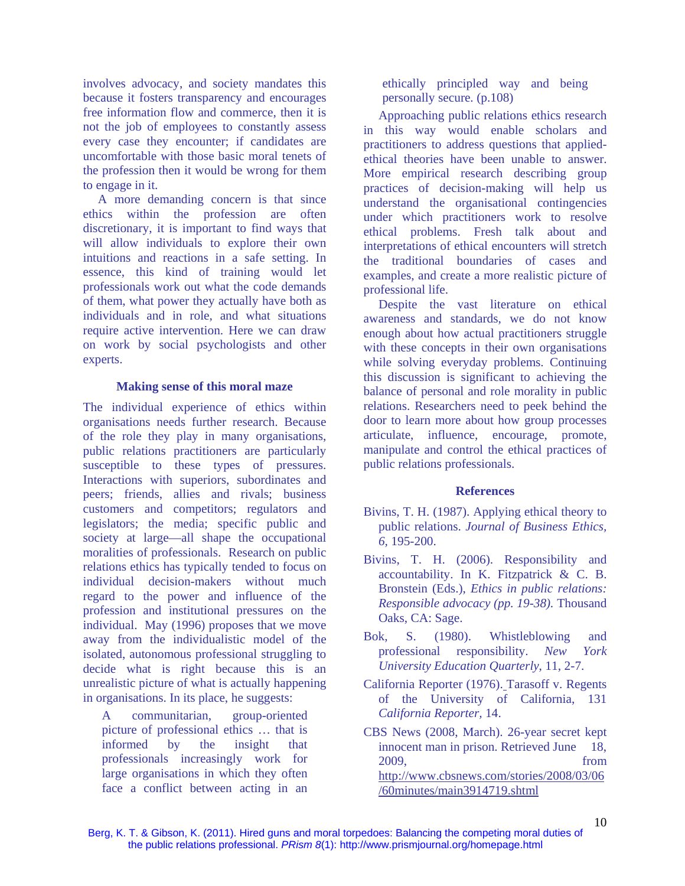involves advocacy, and society mandates this because it fosters transparency and encourages free information flow and commerce, then it is not the job of employees to constantly assess every case they encounter; if candidates are uncomfortable with those basic moral tenets of the profession then it would be wrong for them to engage in it.

A more demanding concern is that since ethics within the profession are often discretionary, it is important to find ways that will allow individuals to explore their own intuitions and reactions in a safe setting. In essence, this kind of training would let professionals work out what the code demands of them, what power they actually have both as individuals and in role, and what situations require active intervention. Here we can draw on work by social psychologists and other experts.

#### **Making sense of this moral maze**

The individual experience of ethics within organisations needs further research. Because of the role they play in many organisations, public relations practitioners are particularly susceptible to these types of pressures. Interactions with superiors, subordinates and peers; friends, allies and rivals; business customers and competitors; regulators and legislators; the media; specific public and society at large—all shape the occupational moralities of professionals. Research on public relations ethics has typically tended to focus on individual decision-makers without much regard to the power and influence of the profession and institutional pressures on the individual. May (1996) proposes that we move away from the individualistic model of the isolated, autonomous professional struggling to decide what is right because this is an unrealistic picture of what is actually happening in organisations. In its place, he suggests:

A communitarian, group-oriented picture of professional ethics … that is informed by the insight that professionals increasingly work for large organisations in which they often face a conflict between acting in an

ethically principled way and being personally secure. (p.108)

Approaching public relations ethics research in this way would enable scholars and practitioners to address questions that appliedethical theories have been unable to answer. More empirical research describing group practices of decision-making will help us understand the organisational contingencies under which practitioners work to resolve ethical problems. Fresh talk about and interpretations of ethical encounters will stretch the traditional boundaries of cases and examples, and create a more realistic picture of professional life.

Despite the vast literature on ethical awareness and standards, we do not know enough about how actual practitioners struggle with these concepts in their own organisations while solving everyday problems. Continuing this discussion is significant to achieving the balance of personal and role morality in public relations. Researchers need to peek behind the door to learn more about how group processes articulate, influence, encourage, promote, manipulate and control the ethical practices of public relations professionals.

#### **References**

- Bivins, T. H. (1987). Applying ethical theory to public relations. *Journal of Business Ethics, 6,* 195-200.
- Bivins, T. H. (2006). Responsibility and accountability. In K. Fitzpatrick & C. B. Bronstein (Eds.), *Ethics in public relations: Responsible advocacy (pp. 19-38).* Thousand Oaks, CA: Sage.
- Bok, S. (1980). Whistleblowing and professional responsibility. *New York University Education Quarterly*, 11, 2-7.
- California Reporter (1976). Tarasoff v. Regents of the University of California, 131 *California Reporter,* 14.
- CBS News (2008, March). 26-year secret kept innocent man in prison. Retrieved June 18, 2009, from http://www.cbsnews.com/stories/2008/03/06 /60minutes/main3914719.shtml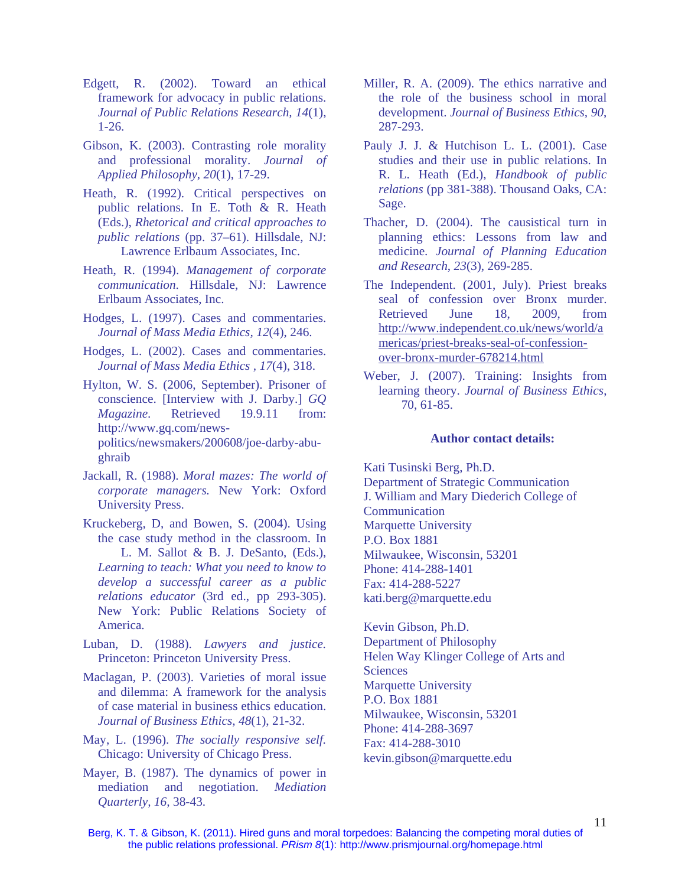- Edgett, R. (2002). Toward an ethical framework for advocacy in public relations. *Journal of Public Relations Research, 14*(1), 1-26.
- Gibson, K. (2003). Contrasting role morality and professional morality. *Journal of Applied Philosophy, 20*(1), 17-29.
- Heath, R. (1992). Critical perspectives on public relations. In E. Toth & R. Heath (Eds.), *Rhetorical and critical approaches to public relations* (pp. 37–61). Hillsdale, NJ: Lawrence Erlbaum Associates, Inc.
- Heath, R. (1994). *Management of corporate communication*. Hillsdale, NJ: Lawrence Erlbaum Associates, Inc.
- Hodges, L. (1997). Cases and commentaries. *Journal of Mass Media Ethics, 12*(4), 246.
- Hodges, L. (2002). Cases and commentaries. *Journal of Mass Media Ethics , 17*(4), 318.
- Hylton, W. S. (2006, September). Prisoner of conscience. [Interview with J. Darby.] *GQ Magazine*. Retrieved 19.9.11 from: http://www.gq.com/newspolitics/newsmakers/200608/joe-darby-abughraib
- Jackall, R. (1988). *Moral mazes: The world of corporate managers.* New York: Oxford University Press.
- Kruckeberg, D, and Bowen, S. (2004). Using the case study method in the classroom. In L. M. Sallot & B. J. DeSanto, (Eds.), *Learning to teach: What you need to know to develop a successful career as a public relations educator* (3rd ed., pp 293-305). New York: Public Relations Society of America.
- Luban, D. (1988). *Lawyers and justice.* Princeton: Princeton University Press.
- Maclagan, P. (2003). Varieties of moral issue and dilemma: A framework for the analysis of case material in business ethics education. *Journal of Business Ethics, 48*(1), 21-32.
- May, L. (1996). *The socially responsive self.* Chicago: University of Chicago Press.
- Mayer, B. (1987). The dynamics of power in mediation and negotiation. *Mediation Quarterly, 16,* 38-43.
- Miller, R. A. (2009). The ethics narrative and the role of the business school in moral development. *Journal of Business Ethics, 90*, 287-293.
- Pauly J. J. & Hutchison L. L. (2001). Case studies and their use in public relations. In R. L. Heath (Ed.), *Handbook of public relations* (pp 381-388). Thousand Oaks, CA: Sage.
- Thacher, D. (2004). The causistical turn in planning ethics: Lessons from law and medicine. *Journal of Planning Education and Research*, *23*(3), 269-285.
- The Independent. (2001, July). Priest breaks seal of confession over Bronx murder. Retrieved June 18, 2009, from http://www.independent.co.uk/news/world/a mericas/priest-breaks-seal-of-confessionover-bronx-murder-678214.html
- Weber, J. (2007). Training: Insights from learning theory. *Journal of Business Ethics*, 70, 61-85.

#### **Author contact details:**

Kati Tusinski Berg, Ph.D. Department of Strategic Communication J. William and Mary Diederich College of Communication Marquette University P.O. Box 1881 Milwaukee, Wisconsin, 53201 Phone: 414-288-1401 Fax: 414-288-5227 kati.berg@marquette.edu

Kevin Gibson, Ph.D. Department of Philosophy Helen Way Klinger College of Arts and **Sciences** Marquette University P.O. Box 1881 Milwaukee, Wisconsin, 53201 Phone: 414-288-3697 Fax: 414-288-3010 kevin.gibson@marquette.edu

Berg, K. T. & Gibson, K. (2011). Hired guns and moral torpedoes: Balancing the competing moral duties of the public relations professional. *PRism 8*(1): http://www.prismjournal.org/homepage.html